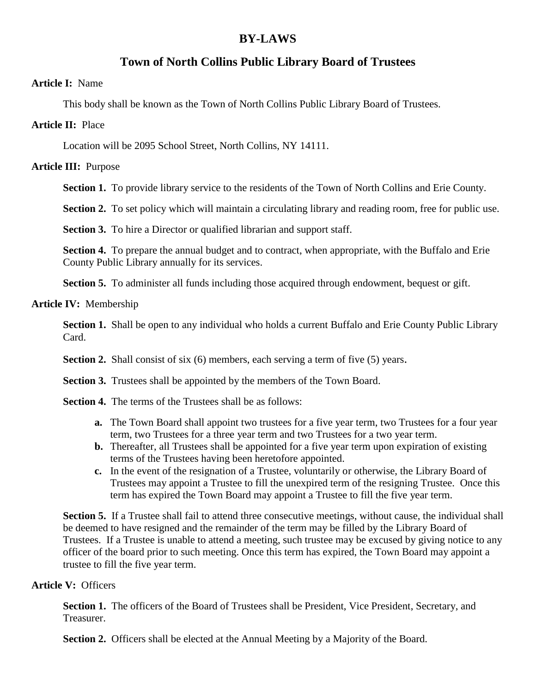# **BY-LAWS**

# **Town of North Collins Public Library Board of Trustees**

#### **Article I:** Name

This body shall be known as the Town of North Collins Public Library Board of Trustees.

## **Article II:** Place

Location will be 2095 School Street, North Collins, NY 14111.

# **Article III:** Purpose

**Section 1.** To provide library service to the residents of the Town of North Collins and Erie County.

**Section 2.** To set policy which will maintain a circulating library and reading room, free for public use.

**Section 3.** To hire a Director or qualified librarian and support staff.

**Section 4.** To prepare the annual budget and to contract, when appropriate, with the Buffalo and Erie County Public Library annually for its services.

**Section 5.** To administer all funds including those acquired through endowment, bequest or gift.

**Article IV:** Membership

**Section 1.** Shall be open to any individual who holds a current Buffalo and Erie County Public Library Card.

**Section 2.** Shall consist of six (6) members, each serving a term of five (5) years.

**Section 3.** Trustees shall be appointed by the members of the Town Board.

- **Section 4.** The terms of the Trustees shall be as follows:
	- **a.** The Town Board shall appoint two trustees for a five year term, two Trustees for a four year term, two Trustees for a three year term and two Trustees for a two year term.
	- **b.** Thereafter, all Trustees shall be appointed for a five year term upon expiration of existing terms of the Trustees having been heretofore appointed.
	- **c.** In the event of the resignation of a Trustee, voluntarily or otherwise, the Library Board of Trustees may appoint a Trustee to fill the unexpired term of the resigning Trustee. Once this term has expired the Town Board may appoint a Trustee to fill the five year term.

**Section 5.** If a Trustee shall fail to attend three consecutive meetings, without cause, the individual shall be deemed to have resigned and the remainder of the term may be filled by the Library Board of Trustees. If a Trustee is unable to attend a meeting, such trustee may be excused by giving notice to any officer of the board prior to such meeting. Once this term has expired, the Town Board may appoint a trustee to fill the five year term.

# **Article V:** Officers

**Section 1.** The officers of the Board of Trustees shall be President, Vice President, Secretary, and Treasurer.

**Section 2.** Officers shall be elected at the Annual Meeting by a Majority of the Board.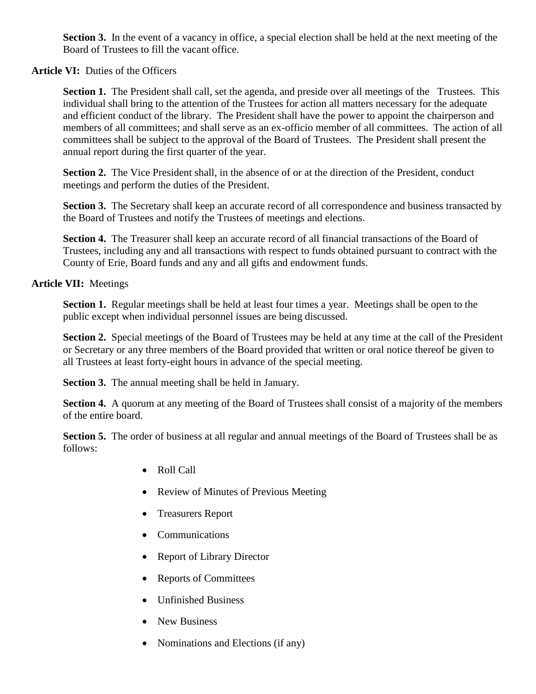**Section 3.** In the event of a vacancy in office, a special election shall be held at the next meeting of the Board of Trustees to fill the vacant office.

## Article VI: Duties of the Officers

**Section 1.** The President shall call, set the agenda, and preside over all meetings of the Trustees. This individual shall bring to the attention of the Trustees for action all matters necessary for the adequate and efficient conduct of the library. The President shall have the power to appoint the chairperson and members of all committees; and shall serve as an ex-officio member of all committees. The action of all committees shall be subject to the approval of the Board of Trustees. The President shall present the annual report during the first quarter of the year.

**Section 2.** The Vice President shall, in the absence of or at the direction of the President, conduct meetings and perform the duties of the President.

**Section 3.** The Secretary shall keep an accurate record of all correspondence and business transacted by the Board of Trustees and notify the Trustees of meetings and elections.

**Section 4.** The Treasurer shall keep an accurate record of all financial transactions of the Board of Trustees, including any and all transactions with respect to funds obtained pursuant to contract with the County of Erie, Board funds and any and all gifts and endowment funds.

## **Article VII:** Meetings

**Section 1.** Regular meetings shall be held at least four times a year. Meetings shall be open to the public except when individual personnel issues are being discussed.

**Section 2.** Special meetings of the Board of Trustees may be held at any time at the call of the President or Secretary or any three members of the Board provided that written or oral notice thereof be given to all Trustees at least forty-eight hours in advance of the special meeting.

**Section 3.** The annual meeting shall be held in January.

**Section 4.** A quorum at any meeting of the Board of Trustees shall consist of a majority of the members of the entire board.

**Section 5.** The order of business at all regular and annual meetings of the Board of Trustees shall be as follows:

- Roll Call
- Review of Minutes of Previous Meeting
- Treasurers Report
- Communications
- Report of Library Director
- Reports of Committees
- Unfinished Business
- New Business
- Nominations and Elections (if any)